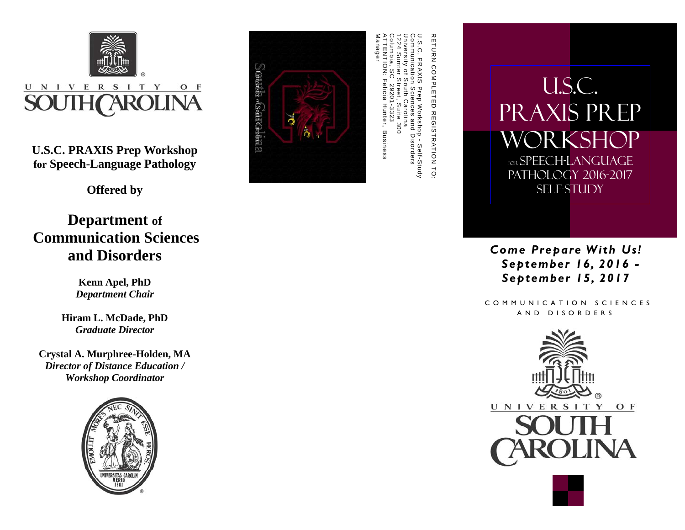

**Offered by** 

**Department of Communication Sciences and Disorders** 

> **Kenn Apel, PhD**  *Department Chair*

**Hiram L. McDade, PhD**  *Graduate Director* 

**Crystal A. Murphree-Holden, MA**  *Director of Distance Education / Workshop Coordinator* 





ATTENTION: Felicia Hunter, Business Columbia, SC 29201-3323 1224 Sumter Street, Suite 300 University of South Carolina Communication Sciences and Disorders U.S.C. PRAXIS Prep Workshop - Self-Study

U.S.C. PRAXIS Prep Workshop for speech-language pathology 2016-2017 SELF-STUDY

> *Come Prepare With Us! September 16, 2016 - September 15, 2017*

 COMMUNICATION SCIENCES AND DISORDERS